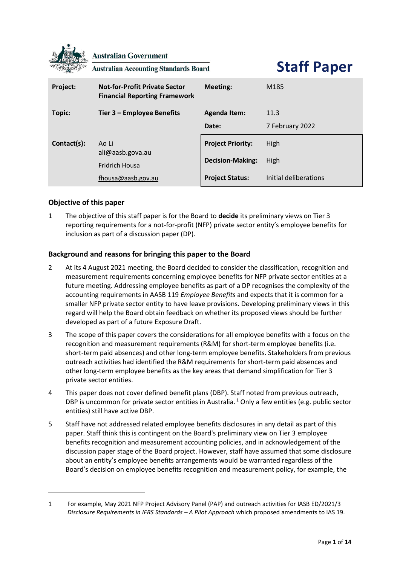

## **Objective of this paper**

1 The objective of this staff paper is for the Board to **decide** its preliminary views on Tier 3 reporting requirements for a not-for-profit (NFP) private sector entity's employee benefits for inclusion as part of a discussion paper (DP).

## **Background and reasons for bringing this paper to the Board**

- 2 At its 4 August 2021 meeting, the Board decided to consider the classification, recognition and measurement requirements concerning employee benefits for NFP private sector entities at a future meeting. Addressing employee benefits as part of a DP recognises the complexity of the accounting requirements in AASB 119 *Employee Benefits* and expects that it is common for a smaller NFP private sector entity to have leave provisions. Developing preliminary views in this regard will help the Board obtain feedback on whether its proposed views should be further developed as part of a future Exposure Draft.
- 3 The scope of this paper covers the considerations for all employee benefits with a focus on the recognition and measurement requirements (R&M) for short-term employee benefits (i.e. short-term paid absences) and other long-term employee benefits. Stakeholders from previous outreach activities had identified the R&M requirements for short-term paid absences and other long-term employee benefits as the key areas that demand simplification for Tier 3 private sector entities.
- 4 This paper does not cover defined benefit plans (DBP). Staff noted from previous outreach, DBP is uncommon for private sector entities in Australia.<sup>1</sup> Only a few entities (e.g. public sector entities) still have active DBP.
- 5 Staff have not addressed related employee benefits disclosures in any detail as part of this paper. Staff think this is contingent on the Board's preliminary view on Tier 3 employee benefits recognition and measurement accounting policies, and in acknowledgement of the discussion paper stage of the Board project. However, staff have assumed that some disclosure about an entity's employee benefits arrangements would be warranted regardless of the Board's decision on employee benefits recognition and measurement policy, for example, the

<sup>1</sup> For example, May 2021 NFP Project Advisory Panel (PAP) and outreach activities for IASB ED/2021/3 *Disclosure Requirements in IFRS Standards – A Pilot Approach* which proposed amendments to IAS 19.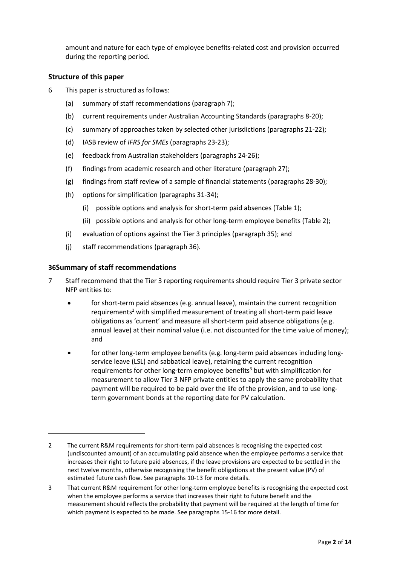amount and nature for each type of employee benefits-related cost and provision occurred during the reporting period.

## **Structure of this paper**

- 6 This paper is structured as follows:
	- (a) summary of staff recommendations (paragraph [7\)](#page-1-0);
	- (b) current requirements under Australian Accounting Standards (paragraphs [8](#page-2-0)[-20\)](#page-4-0);
	- (c) summary of approaches taken by selected other jurisdictions (paragraphs [21](#page-4-1)[-22\)](#page-4-2);
	- (d) IASB review of *IFRS for SMEs* (paragraphs [23](#page-5-0)[-23\)](#page-5-1);
	- (e) feedback from Australian stakeholders (paragraphs [24](#page-5-2)[-26\)](#page-5-3);
	- (f) findings from academic research and other literature (paragraph [27\)](#page-6-0);
	- (g) findings from staff review of a sample of financial statements (paragraphs [28](#page-6-1)[-30\)](#page-6-2);
	- (h) options for simplification (paragraphs [31-](#page-7-0)[34\)](#page-8-0);
		- (i) possible options and analysis for short-term paid absences [\(Table](#page-9-0) 1);
		- (ii) possible options and analysis for other long-term employee benefits [\(Table 2\)](#page-10-0);
	- (i) evaluation of options against the Tier 3 principles (paragraph [35\)](#page-12-0); and
	- (j) staff recommendations (paragrap[h 36\)](#page-12-1).

## **[36](#page-12-1)Summary of staff recommendations**

- <span id="page-1-0"></span>7 Staff recommend that the Tier 3 reporting requirements should require Tier 3 private sector NFP entities to:
	- for short-term paid absences (e.g. annual leave), maintain the current recognition requirements<sup>2</sup> with simplified measurement of treating all short-term paid leave obligations as 'current' and measure all short-term paid absence obligations (e.g. annual leave) at their nominal value (i.e. not discounted for the time value of money); and
	- for other long-term employee benefits (e.g. long-term paid absences including longservice leave (LSL) and sabbatical leave), retaining the current recognition requirements for other long-term employee benefits<sup>3</sup> but with simplification for measurement to allow Tier 3 NFP private entities to apply the same probability that payment will be required to be paid over the life of the provision, and to use longterm government bonds at the reporting date for PV calculation.

<sup>2</sup> The current R&M requirements for short-term paid absences is recognising the expected cost (undiscounted amount) of an accumulating paid absence when the employee performs a service that increases their right to future paid absences, if the leave provisions are expected to be settled in the next twelve months, otherwise recognising the benefit obligations at the present value (PV) of estimated future cash flow. See paragraphs [10](#page-2-1)[-13](#page-3-0) for more details.

<sup>3</sup> That current R&M requirement for other long-term employee benefits is recognising the expected cost when the employee performs a service that increases their right to future benefit and the measurement should reflects the probability that payment will be required at the length of time for which payment is expected to be made. See paragraphs [15-](#page-3-1)[16](#page-3-2) for more detail.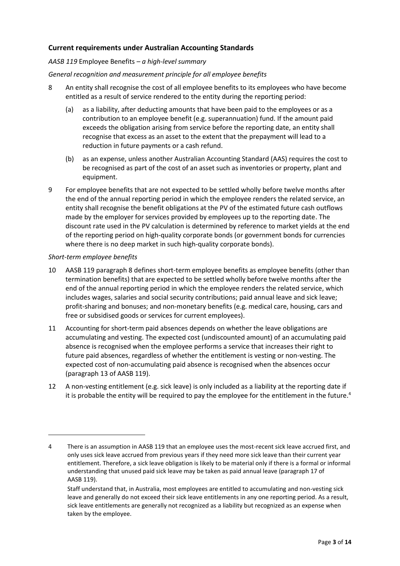## **Current requirements under Australian Accounting Standards**

#### *AASB 119* Employee Benefits *– a high-level summary*

## *General recognition and measurement principle for all employee benefits*

- <span id="page-2-0"></span>8 An entity shall recognise the cost of all employee benefits to its employees who have become entitled as a result of service rendered to the entity during the reporting period:
	- (a) as a liability, after deducting amounts that have been paid to the employees or as a contribution to an employee benefit (e.g. superannuation) fund. If the amount paid exceeds the obligation arising from service before the reporting date, an entity shall recognise that excess as an asset to the extent that the prepayment will lead to a reduction in future payments or a cash refund.
	- (b) as an expense, unless another Australian Accounting Standard (AAS) requires the cost to be recognised as part of the cost of an asset such as inventories or property, plant and equipment.
- <span id="page-2-2"></span>9 For employee benefits that are not expected to be settled wholly before twelve months after the end of the annual reporting period in which the employee renders the related service, an entity shall recognise the benefit obligations at the PV of the estimated future cash outflows made by the employer for services provided by employees up to the reporting date. The discount rate used in the PV calculation is determined by reference to market yields at the end of the reporting period on high-quality corporate bonds (or government bonds for currencies where there is no deep market in such high-quality corporate bonds).

#### *Short-term employee benefits*

- <span id="page-2-1"></span>10 AASB 119 paragraph 8 defines short-term employee benefits as employee benefits (other than termination benefits) that are expected to be settled wholly before twelve months after the end of the annual reporting period in which the employee renders the related service, which includes wages, salaries and social security contributions; paid annual leave and sick leave; profit-sharing and bonuses; and non-monetary benefits (e.g. medical care, housing, cars and free or subsidised goods or services for current employees).
- 11 Accounting for short-term paid absences depends on whether the leave obligations are accumulating and vesting. The expected cost (undiscounted amount) of an accumulating paid absence is recognised when the employee performs a service that increases their right to future paid absences, regardless of whether the entitlement is vesting or non-vesting. The expected cost of non-accumulating paid absence is recognised when the absences occur (paragraph 13 of AASB 119).
- 12 A non-vesting entitlement (e.g. sick leave) is only included as a liability at the reporting date if it is probable the entity will be required to pay the employee for the entitlement in the future.<sup>4</sup>

<sup>4</sup> There is an assumption in AASB 119 that an employee uses the most-recent sick leave accrued first, and only uses sick leave accrued from previous years if they need more sick leave than their current year entitlement. Therefore, a sick leave obligation is likely to be material only if there is a formal or informal understanding that unused paid sick leave may be taken as paid annual leave (paragraph 17 of AASB 119).

Staff understand that, in Australia, most employees are entitled to accumulating and non-vesting sick leave and generally do not exceed their sick leave entitlements in any one reporting period. As a result, sick leave entitlements are generally not recognized as a liability but recognized as an expense when taken by the employee.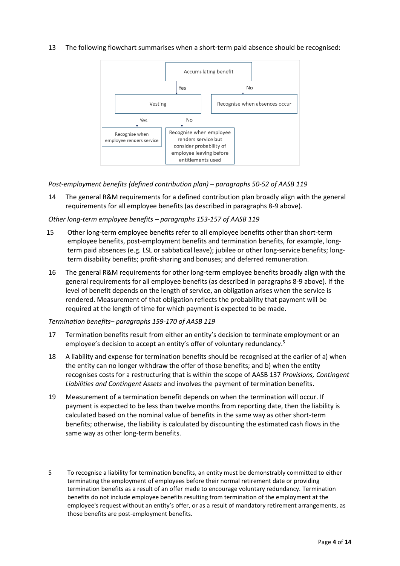## <span id="page-3-0"></span>13 The following flowchart summarises when a short-term paid absence should be recognised:



*Post-employment benefits (defined contribution plan) – paragraphs 50-52 of AASB 119*

14 The general R&M requirements for a defined contribution plan broadly align with the general requirements for all employee benefits (as described in paragraphs [8](#page-2-0)[-9](#page-2-2) above).

#### *Other long-term employee benefits – paragraphs 153-157 of AASB 119*

- <span id="page-3-1"></span>15 Other long-term employee benefits refer to all employee benefits other than short-term employee benefits, post-employment benefits and termination benefits, for example, longterm paid absences (e.g. LSL or sabbatical leave); jubilee or other long-service benefits; longterm disability benefits; profit-sharing and bonuses; and deferred remuneration.
- <span id="page-3-2"></span>16 The general R&M requirements for other long-term employee benefits broadly align with the general requirements for all employee benefits (as described in paragraphs [8](#page-2-0)[-9](#page-2-2) above). If the level of benefit depends on the length of service, an obligation arises when the service is rendered. Measurement of that obligation reflects the probability that payment will be required at the length of time for which payment is expected to be made.

#### *Termination benefits– paragraphs 159-170 of AASB 119*

- 17 Termination benefits result from either an entity's decision to terminate employment or an employee's decision to accept an entity's offer of voluntary redundancy.<sup>5</sup>
- 18 A liability and expense for termination benefits should be recognised at the earlier of a) when the entity can no longer withdraw the offer of those benefits; and b) when the entity recognises costs for a restructuring that is within the scope of AASB 137 *Provisions, Contingent Liabilities and Contingent Assets* and involves the payment of termination benefits.
- 19 Measurement of a termination benefit depends on when the termination will occur. If payment is expected to be less than twelve months from reporting date, then the liability is calculated based on the nominal value of benefits in the same way as other short-term benefits; otherwise, the liability is calculated by discounting the estimated cash flows in the same way as other long-term benefits.

<sup>5</sup> To recognise a liability for termination benefits, an entity must be demonstrably committed to either terminating the employment of employees before their normal retirement date or providing termination benefits as a result of an offer made to encourage voluntary redundancy. Termination benefits do not include employee benefits resulting from termination of the employment at the employee's request without an entity's offer, or as a result of mandatory retirement arrangements, as those benefits are post-employment benefits.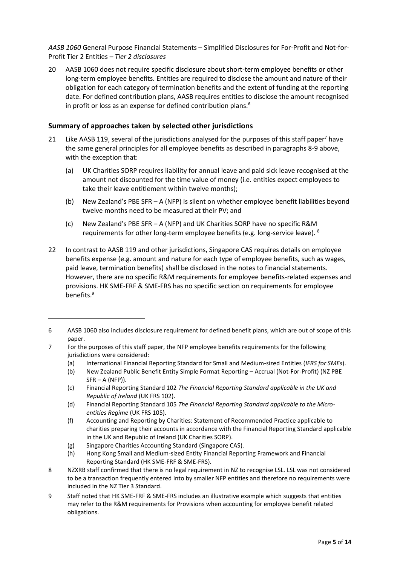*AASB 1060* General Purpose Financial Statements – Simplified Disclosures for For-Profit and Not-for-Profit Tier 2 Entities *– Tier 2 disclosures*

<span id="page-4-0"></span>20 AASB 1060 does not require specific disclosure about short-term employee benefits or other long-term employee benefits. Entities are required to disclose the amount and nature of their obligation for each category of termination benefits and the extent of funding at the reporting date. For defined contribution plans, AASB requires entities to disclose the amount recognised in profit or loss as an expense for defined contribution plans. $6$ 

## **Summary of approaches taken by selected other jurisdictions**

- <span id="page-4-1"></span>21 Like AASB 119, several of the jurisdictions analysed for the purposes of this staff paper<sup>7</sup> have the same general principles for all employee benefits as described in paragraph[s 8](#page-2-0)[-9](#page-2-2) above, with the exception that:
	- (a) UK Charities SORP requires liability for annual leave and paid sick leave recognised at the amount not discounted for the time value of money (i.e. entities expect employees to take their leave entitlement within twelve months);
	- (b) New Zealand's PBE SFR A (NFP) is silent on whether employee benefit liabilities beyond twelve months need to be measured at their PV; and
	- (c) New Zealand's PBE SFR A (NFP) and UK Charities SORP have no specific R&M requirements for other long-term employee benefits (e.g. long-service leave). <sup>8</sup>
- <span id="page-4-2"></span>22 In contrast to AASB 119 and other jurisdictions, Singapore CAS requires details on employee benefits expense (e.g. amount and nature for each type of employee benefits, such as wages, paid leave, termination benefits) shall be disclosed in the notes to financial statements. However, there are no specific R&M requirements for employee benefits-related expenses and provisions. HK SME-FRF & SME-FRS has no specific section on requirements for employee benefits.<sup>9</sup>

(a) International Financial Reporting Standard for Small and Medium-sized Entities (*IFRS for SMEs*).

<sup>6</sup> AASB 1060 also includes disclosure requirement for defined benefit plans, which are out of scope of this paper.

<sup>7</sup> For the purposes of this staff paper, the NFP employee benefits requirements for the following jurisdictions were considered:

<sup>(</sup>b) New Zealand Public Benefit Entity Simple Format Reporting – Accrual (Not-For-Profit) (NZ PBE  $SFR - A (NFP)$ ).

<sup>(</sup>c) Financial Reporting Standard 102 *The Financial Reporting Standard applicable in the UK and Republic of Ireland* (UK FRS 102).

<sup>(</sup>d) Financial Reporting Standard 105 *The Financial Reporting Standard applicable to the Microentities Regime* (UK FRS 105).

<sup>(</sup>f) Accounting and Reporting by Charities: Statement of Recommended Practice applicable to charities preparing their accounts in accordance with the Financial Reporting Standard applicable in the UK and Republic of Ireland (UK Charities SORP).

<sup>(</sup>g) Singapore Charities Accounting Standard (Singapore CAS).

<sup>(</sup>h) Hong Kong Small and Medium-sized Entity Financial Reporting Framework and Financial Reporting Standard (HK SME-FRF & SME-FRS).

<sup>8</sup> NZXRB staff confirmed that there is no legal requirement in NZ to recognise LSL. LSL was not considered to be a transaction frequently entered into by smaller NFP entities and therefore no requirements were included in the NZ Tier 3 Standard.

<sup>9</sup> Staff noted that HK SME-FRF & SME-FRS includes an illustrative example which suggests that entities may refer to the R&M requirements for Provisions when accounting for employee benefit related obligations.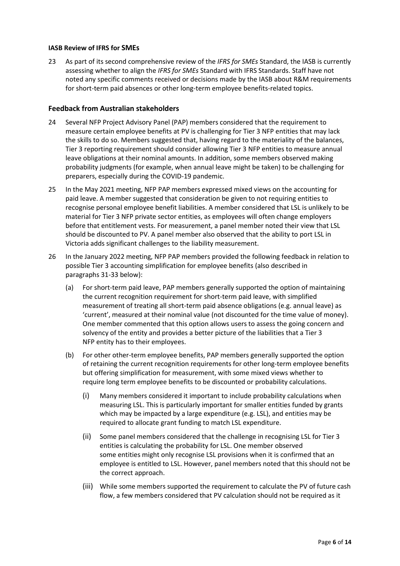#### **IASB Review of IFRS for SMEs**

<span id="page-5-1"></span><span id="page-5-0"></span>23 As part of its second comprehensive review of the *IFRS for SMEs* Standard, the IASB is currently assessing whether to align the *IFRS for SMEs* Standard with IFRS Standards. Staff have not noted any specific comments received or decisions made by the IASB about R&M requirements for short-term paid absences or other long-term employee benefits-related topics.

## **Feedback from Australian stakeholders**

- <span id="page-5-2"></span>24 Several NFP Project Advisory Panel (PAP) members considered that the requirement to measure certain employee benefits at PV is challenging for Tier 3 NFP entities that may lack the skills to do so. Members suggested that, having regard to the materiality of the balances, Tier 3 reporting requirement should consider allowing Tier 3 NFP entities to measure annual leave obligations at their nominal amounts. In addition, some members observed making probability judgments (for example, when annual leave might be taken) to be challenging for preparers, especially during the COVID-19 pandemic.
- 25 In the May 2021 meeting, NFP PAP members expressed mixed views on the accounting for paid leave. A member suggested that consideration be given to not requiring entities to recognise personal employee benefit liabilities. A member considered that LSL is unlikely to be material for Tier 3 NFP private sector entities, as employees will often change employers before that entitlement vests. For measurement, a panel member noted their view that LSL should be discounted to PV. A panel member also observed that the ability to port LSL in Victoria adds significant challenges to the liability measurement.
- <span id="page-5-3"></span>26 In the January 2022 meeting, NFP PAP members provided the following feedback in relation to possible Tier 3 accounting simplification for employee benefits (also described in paragraphs [31-](#page-7-0)[33](#page-7-1) below):
	- (a) For short-term paid leave, PAP members generally supported the option of maintaining the current recognition requirement for short-term paid leave, with simplified measurement of treating all short-term paid absence obligations (e.g. annual leave) as 'current', measured at their nominal value (not discounted for the time value of money). One member commented that this option allows users to assess the going concern and solvency of the entity and provides a better picture of the liabilities that a Tier 3 NFP entity has to their employees.
	- (b) For other other-term employee benefits, PAP members generally supported the option of retaining the current recognition requirements for other long-term employee benefits but offering simplification for measurement, with some mixed views whether to require long term employee benefits to be discounted or probability calculations.
		- (i) Many members considered it important to include probability calculations when measuring LSL. This is particularly important for smaller entities funded by grants which may be impacted by a large expenditure (e.g. LSL), and entities may be required to allocate grant funding to match LSL expenditure.
		- (ii) Some panel members considered that the challenge in recognising LSL for Tier 3 entities is calculating the probability for LSL. One member observed some entities might only recognise LSL provisions when it is confirmed that an employee is entitled to LSL. However, panel members noted that this should not be the correct approach.
		- (iii) While some members supported the requirement to calculate the PV of future cash flow, a few members considered that PV calculation should not be required as it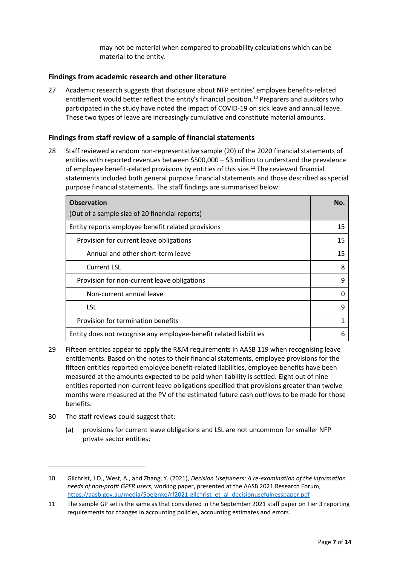may not be material when compared to probability calculations which can be material to the entity.

## **Findings from academic research and other literature**

<span id="page-6-0"></span>27 Academic research suggests that disclosure about NFP entities' employee benefits-related entitlement would better reflect the entity's financial position. <sup>10</sup> Preparers and auditors who participated in the study have noted the impact of COVID-19 on sick leave and annual leave. These two types of leave are increasingly cumulative and constitute material amounts.

## **Findings from staff review of a sample of financial statements**

<span id="page-6-1"></span>28 Staff reviewed a random non-representative sample (20) of the 2020 financial statements of entities with reported revenues between \$500,000 – \$3 million to understand the prevalence of employee benefit-related provisions by entities of this size.<sup>11</sup> The reviewed financial statements included both general purpose financial statements and those described as special purpose financial statements. The staff findings are summarised below:

| <b>Observation</b>                                                 |    |
|--------------------------------------------------------------------|----|
| (Out of a sample size of 20 financial reports)                     |    |
| Entity reports employee benefit related provisions                 | 15 |
| Provision for current leave obligations                            | 15 |
| Annual and other short-term leave                                  | 15 |
| <b>Current LSL</b>                                                 | ጸ  |
| Provision for non-current leave obligations                        | q  |
| Non-current annual leave                                           |    |
| <b>LSL</b>                                                         | 9  |
| Provision for termination benefits                                 |    |
| Entity does not recognise any employee-benefit related liabilities |    |

- 29 Fifteen entities appear to apply the R&M requirements in AASB 119 when recognising leave entitlements. Based on the notes to their financial statements, employee provisions for the fifteen entities reported employee benefit-related liabilities, employee benefits have been measured at the amounts expected to be paid when liability is settled. Eight out of nine entities reported non-current leave obligations specified that provisions greater than twelve months were measured at the PV of the estimated future cash outflows to be made for those benefits.
- <span id="page-6-2"></span>30 The staff reviews could suggest that:
	- (a) provisions for current leave obligations and LSL are not uncommon for smaller NFP private sector entities;

<sup>10</sup> Gilchrist, J.D., West, A., and Zhang, Y. (2021), *Decision Usefulness: A re-examination of the information needs of non-profit GPFR users*, working paper, presented at the AASB 2021 Research Forum, https://aasb.gov.au/media/5oelznke/rf2021-gilchrist\_et\_al\_decisionusefulnesspaper.pdf

<sup>11</sup> The sample GP set is the same as that considered in the September 2021 staff paper on Tier 3 reporting requirements for changes in accounting policies, accounting estimates and errors.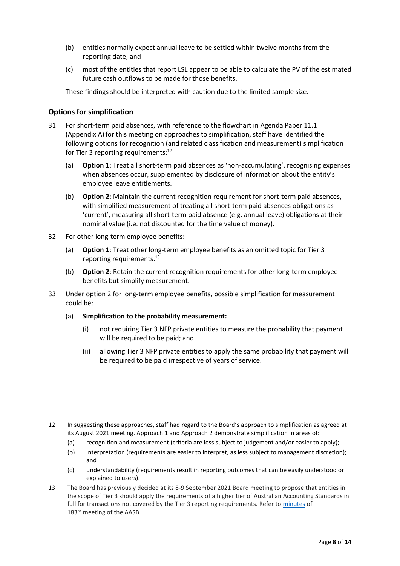- (b) entities normally expect annual leave to be settled within twelve months from the reporting date; and
- (c) most of the entities that report LSL appear to be able to calculate the PV of the estimated future cash outflows to be made for those benefits.

<span id="page-7-3"></span>These findings should be interpreted with caution due to the limited sample size.

## **Options for simplification**

- <span id="page-7-2"></span><span id="page-7-0"></span>31 For short-term paid absences, with reference to the flowchart in Agenda Paper 11.1 (Appendix A) for this meeting on approaches to simplification, staff have identified the following options for recognition (and related classification and measurement) simplification for Tier 3 reporting requirements:<sup>12</sup>
	- (a) **Option 1**: Treat all short-term paid absences as 'non-accumulating', recognising expenses when absences occur, supplemented by disclosure of information about the entity's employee leave entitlements.
	- (b) **Option 2**: Maintain the current recognition requirement for short-term paid absences, with simplified measurement of treating all short-term paid absences obligations as 'current', measuring all short-term paid absence (e.g. annual leave) obligations at their nominal value (i.e. not discounted for the time value of money).
- 32 For other long-term employee benefits:
	- (a) **Option 1**: Treat other long-term employee benefits as an omitted topic for Tier 3 reporting requirements.<sup>13</sup>
	- (b) **Option 2**: Retain the current recognition requirements for other long-term employee benefits but simplify measurement.
- <span id="page-7-4"></span><span id="page-7-1"></span>33 Under option 2 for long-term employee benefits, possible simplification for measurement could be:
	- (a) **Simplification to the probability measurement:**
		- (i) not requiring Tier 3 NFP private entities to measure the probability that payment will be required to be paid; and
		- (ii) allowing Tier 3 NFP private entities to apply the same probability that payment will be required to be paid irrespective of years of service.

- (a) recognition and measurement (criteria are less subject to judgement and/or easier to apply);
- (b) interpretation (requirements are easier to interpret, as less subject to management discretion); and
- (c) understandability (requirements result in reporting outcomes that can be easily understood or explained to users).

<sup>12</sup> In suggesting these approaches, staff had regard to the Board's approach to simplification as agreed at its August 2021 meeting. Approach 1 and Approach 2 demonstrate simplification in areas of:

<sup>13</sup> The Board has previously decided at its 8-9 September 2021 Board meeting to propose that entities in the scope of Tier 3 should apply the requirements of a higher tier of Australian Accounting Standards in full for transactions not covered by the Tier 3 reporting requirements. Refer to [minutes](https://aasb.gov.au/media/5l2ptuyt/approvedaasbminutesm183sept21.pdf) of 183<sup>rd</sup> meeting of the AASB.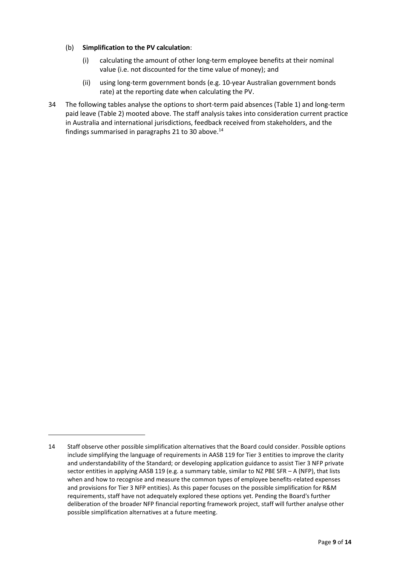#### (b) **Simplification to the PV calculation**:

- (i) calculating the amount of other long-term employee benefits at their nominal value (i.e. not discounted for the time value of money); and
- (ii) using long-term government bonds (e.g. 10-year Australian government bonds rate) at the reporting date when calculating the PV.
- <span id="page-8-0"></span>34 The following tables analyse the options to short-term paid absences (Table 1) and long-term paid leave (Table 2) mooted above. The staff analysis takes into consideration current practice in Australia and international jurisdictions, feedback received from stakeholders, and the findings summarised in paragraphs [21](#page-4-1) t[o 30](#page-6-2) above. $^{14}$

<sup>14</sup> Staff observe other possible simplification alternatives that the Board could consider. Possible options include simplifying the language of requirements in AASB 119 for Tier 3 entities to improve the clarity and understandability of the Standard; or developing application guidance to assist Tier 3 NFP private sector entities in applying AASB 119 (e.g. a summary table, similar to NZ PBE SFR – A (NFP), that lists when and how to recognise and measure the common types of employee benefits-related expenses and provisions for Tier 3 NFP entities). As this paper focuses on the possible simplification for R&M requirements, staff have not adequately explored these options yet. Pending the Board's further deliberation of the broader NFP financial reporting framework project, staff will further analyse other possible simplification alternatives at a future meeting.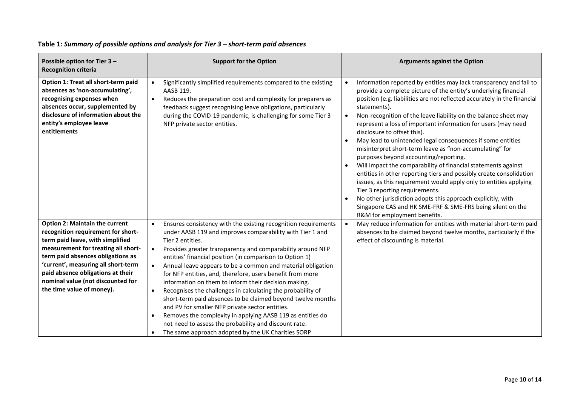<span id="page-9-1"></span><span id="page-9-0"></span>

| Possible option for Tier 3 -<br><b>Recognition criteria</b>                                                                                                                                                                                                                                                                               | <b>Support for the Option</b>                                                                                                                                                                                                                                                                                                                                                                                                                                                                                                                                                                                                                                                                                                                                                                                                                                                                | <b>Arguments against the Option</b>                                                                                                                                                                                                                                                                                                                                                                                                                                                                                                                                                                                                                                                                                                                                                                                                                                                                                                                                                                                       |
|-------------------------------------------------------------------------------------------------------------------------------------------------------------------------------------------------------------------------------------------------------------------------------------------------------------------------------------------|----------------------------------------------------------------------------------------------------------------------------------------------------------------------------------------------------------------------------------------------------------------------------------------------------------------------------------------------------------------------------------------------------------------------------------------------------------------------------------------------------------------------------------------------------------------------------------------------------------------------------------------------------------------------------------------------------------------------------------------------------------------------------------------------------------------------------------------------------------------------------------------------|---------------------------------------------------------------------------------------------------------------------------------------------------------------------------------------------------------------------------------------------------------------------------------------------------------------------------------------------------------------------------------------------------------------------------------------------------------------------------------------------------------------------------------------------------------------------------------------------------------------------------------------------------------------------------------------------------------------------------------------------------------------------------------------------------------------------------------------------------------------------------------------------------------------------------------------------------------------------------------------------------------------------------|
| Option 1: Treat all short-term paid<br>absences as 'non-accumulating',<br>recognising expenses when<br>absences occur, supplemented by<br>disclosure of information about the<br>entity's employee leave<br>entitlements                                                                                                                  | Significantly simplified requirements compared to the existing<br>$\bullet$<br>AASB 119.<br>Reduces the preparation cost and complexity for preparers as<br>feedback suggest recognising leave obligations, particularly<br>during the COVID-19 pandemic, is challenging for some Tier 3<br>NFP private sector entities.                                                                                                                                                                                                                                                                                                                                                                                                                                                                                                                                                                     | Information reported by entities may lack transparency and fail to<br>$\bullet$<br>provide a complete picture of the entity's underlying financial<br>position (e.g. liabilities are not reflected accurately in the financial<br>statements).<br>Non-recognition of the leave liability on the balance sheet may<br>$\bullet$<br>represent a loss of important information for users (may need<br>disclosure to offset this).<br>May lead to unintended legal consequences if some entities<br>misinterpret short-term leave as "non-accumulating" for<br>purposes beyond accounting/reporting.<br>Will impact the comparability of financial statements against<br>entities in other reporting tiers and possibly create consolidation<br>issues, as this requirement would apply only to entities applying<br>Tier 3 reporting requirements.<br>No other jurisdiction adopts this approach explicitly, with<br>$\bullet$<br>Singapore CAS and HK SME-FRF & SME-FRS being silent on the<br>R&M for employment benefits. |
| <b>Option 2: Maintain the current</b><br>recognition requirement for short-<br>term paid leave, with simplified<br>measurement for treating all short-<br>term paid absences obligations as<br>'current', measuring all short-term<br>paid absence obligations at their<br>nominal value (not discounted for<br>the time value of money). | Ensures consistency with the existing recognition requirements<br>$\bullet$<br>under AASB 119 and improves comparability with Tier 1 and<br>Tier 2 entities.<br>Provides greater transparency and comparability around NFP<br>$\bullet$<br>entities' financial position (in comparison to Option 1)<br>Annual leave appears to be a common and material obligation<br>$\bullet$<br>for NFP entities, and, therefore, users benefit from more<br>information on them to inform their decision making.<br>Recognises the challenges in calculating the probability of<br>$\bullet$<br>short-term paid absences to be claimed beyond twelve months<br>and PV for smaller NFP private sector entities.<br>Removes the complexity in applying AASB 119 as entities do<br>$\bullet$<br>not need to assess the probability and discount rate.<br>The same approach adopted by the UK Charities SORP | May reduce information for entities with material short-term paid<br>$\bullet$<br>absences to be claimed beyond twelve months, particularly if the<br>effect of discounting is material.                                                                                                                                                                                                                                                                                                                                                                                                                                                                                                                                                                                                                                                                                                                                                                                                                                  |

## **Table 1***: Summary of possible options and analysis for Tier 3 – short-term paid absences*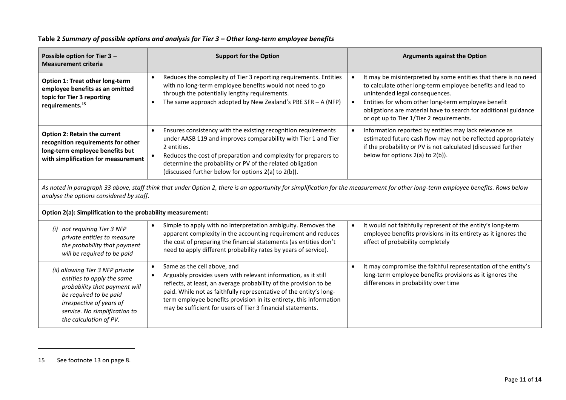<span id="page-10-0"></span>

| Possible option for Tier 3 -<br><b>Measurement criteria</b>                                                                                                                                                                   | <b>Support for the Option</b>                                                                                                                                                                                                                                                                                                                                                 | <b>Arguments against the Option</b>                                                                                                                                                                                                                                                                                                  |  |
|-------------------------------------------------------------------------------------------------------------------------------------------------------------------------------------------------------------------------------|-------------------------------------------------------------------------------------------------------------------------------------------------------------------------------------------------------------------------------------------------------------------------------------------------------------------------------------------------------------------------------|--------------------------------------------------------------------------------------------------------------------------------------------------------------------------------------------------------------------------------------------------------------------------------------------------------------------------------------|--|
| Option 1: Treat other long-term<br>employee benefits as an omitted<br>topic for Tier 3 reporting<br>requirements. <sup>15</sup>                                                                                               | Reduces the complexity of Tier 3 reporting requirements. Entities<br>with no long-term employee benefits would not need to go<br>through the potentially lengthy requirements.<br>The same approach adopted by New Zealand's PBE SFR $- A (NFP)$                                                                                                                              | It may be misinterpreted by some entities that there is no need<br>to calculate other long-term employee benefits and lead to<br>unintended legal consequences.<br>Entities for whom other long-term employee benefit<br>obligations are material have to search for additional guidance<br>or opt up to Tier 1/Tier 2 requirements. |  |
| Option 2: Retain the current<br>recognition requirements for other<br>long-term employee benefits but<br>with simplification for measurement                                                                                  | Ensures consistency with the existing recognition requirements<br>under AASB 119 and improves comparability with Tier 1 and Tier<br>2 entities.<br>Reduces the cost of preparation and complexity for preparers to<br>determine the probability or PV of the related obligation<br>(discussed further below for options 2(a) to 2(b)).                                        | Information reported by entities may lack relevance as<br>estimated future cash flow may not be reflected appropriately<br>if the probability or PV is not calculated (discussed further<br>below for options $2(a)$ to $2(b)$ ).                                                                                                    |  |
| As noted in paragraph 33 above, staff think that under Option 2, there is an opportunity for simplification for the measurement for other long-term employee benefits. Rows below<br>analyse the options considered by staff. |                                                                                                                                                                                                                                                                                                                                                                               |                                                                                                                                                                                                                                                                                                                                      |  |
| Option 2(a): Simplification to the probability measurement:                                                                                                                                                                   |                                                                                                                                                                                                                                                                                                                                                                               |                                                                                                                                                                                                                                                                                                                                      |  |
| (i) not requiring Tier 3 NFP<br>private entities to measure<br>the probability that payment<br>will be required to be paid                                                                                                    | Simple to apply with no interpretation ambiguity. Removes the<br>apparent complexity in the accounting requirement and reduces<br>the cost of preparing the financial statements (as entities don't<br>need to apply different probability rates by years of service).                                                                                                        | It would not faithfully represent of the entity's long-term<br>employee benefits provisions in its entirety as it ignores the<br>effect of probability completely                                                                                                                                                                    |  |
| (ii) allowing Tier 3 NFP private<br>entities to apply the same<br>probability that payment will<br>be required to be paid<br>irrespective of years of<br>service. No simplification to<br>the calculation of PV.              | Same as the cell above, and<br>Arguably provides users with relevant information, as it still<br>reflects, at least, an average probability of the provision to be<br>paid. While not as faithfully representative of the entity's long-<br>term employee benefits provision in its entirety, this information<br>may be sufficient for users of Tier 3 financial statements. | It may compromise the faithful representation of the entity's<br>long-term employee benefits provisions as it ignores the<br>differences in probability over time                                                                                                                                                                    |  |

# **Table 2** *Summary of possible options and analysis for Tier 3 – Other long-term employee benefits*

<span id="page-10-2"></span><span id="page-10-1"></span><sup>15</sup> See footnote [13](#page-7-3) on page [8.](#page-7-4)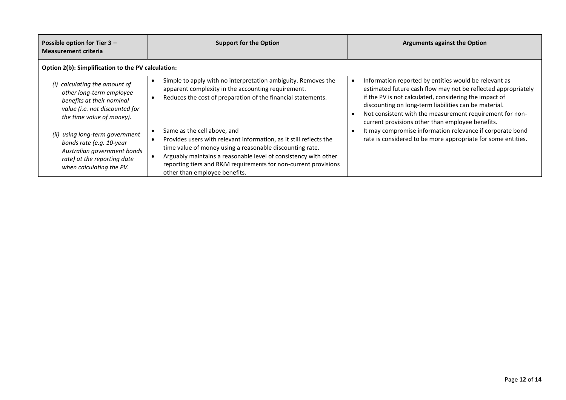| Possible option for Tier $3 -$<br><b>Measurement criteria</b>                                                                                         | <b>Support for the Option</b>                                                                                                                                                                                                                                                                                                        | <b>Arguments against the Option</b>                                                                                                                                                                                                                                                                                                                       |  |  |
|-------------------------------------------------------------------------------------------------------------------------------------------------------|--------------------------------------------------------------------------------------------------------------------------------------------------------------------------------------------------------------------------------------------------------------------------------------------------------------------------------------|-----------------------------------------------------------------------------------------------------------------------------------------------------------------------------------------------------------------------------------------------------------------------------------------------------------------------------------------------------------|--|--|
| Option 2(b): Simplification to the PV calculation:                                                                                                    |                                                                                                                                                                                                                                                                                                                                      |                                                                                                                                                                                                                                                                                                                                                           |  |  |
| (i) calculating the amount of<br>other long-term employee<br>benefits at their nominal<br>value (i.e. not discounted for<br>the time value of money). | Simple to apply with no interpretation ambiguity. Removes the<br>apparent complexity in the accounting requirement.<br>Reduces the cost of preparation of the financial statements.                                                                                                                                                  | Information reported by entities would be relevant as<br>estimated future cash flow may not be reflected appropriately<br>if the PV is not calculated, considering the impact of<br>discounting on long-term liabilities can be material.<br>Not consistent with the measurement requirement for non-<br>current provisions other than employee benefits. |  |  |
| (ii) using long-term government<br>bonds rate (e.g. 10-year<br>Australian government bonds<br>rate) at the reporting date<br>when calculating the PV. | Same as the cell above, and<br>Provides users with relevant information, as it still reflects the<br>time value of money using a reasonable discounting rate.<br>Arguably maintains a reasonable level of consistency with other<br>reporting tiers and R&M requirements for non-current provisions<br>other than employee benefits. | It may compromise information relevance if corporate bond<br>rate is considered to be more appropriate for some entities.                                                                                                                                                                                                                                 |  |  |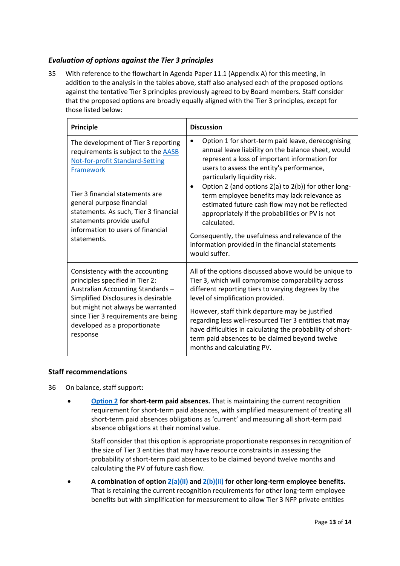# *Evaluation of options against the Tier 3 principles*

<span id="page-12-0"></span>35 With reference to the flowchart in Agenda Paper 11.1 (Appendix A) for this meeting, in addition to the analysis in the tables above, staff also analysed each of the proposed options against the tentative Tier 3 principles previously agreed to by Board members. Staff consider that the proposed options are broadly equally aligned with the Tier 3 principles, except for those listed below:

| Principle                                                                                                                                                                                                                                                                                                                          | <b>Discussion</b>                                                                                                                                                                                                                                                                                                                                                                                                                                                                                                                                                                                        |  |
|------------------------------------------------------------------------------------------------------------------------------------------------------------------------------------------------------------------------------------------------------------------------------------------------------------------------------------|----------------------------------------------------------------------------------------------------------------------------------------------------------------------------------------------------------------------------------------------------------------------------------------------------------------------------------------------------------------------------------------------------------------------------------------------------------------------------------------------------------------------------------------------------------------------------------------------------------|--|
| The development of Tier 3 reporting<br>requirements is subject to the <b>AASB</b><br><b>Not-for-profit Standard-Setting</b><br>Framework<br>Tier 3 financial statements are<br>general purpose financial<br>statements. As such, Tier 3 financial<br>statements provide useful<br>information to users of financial<br>statements. | Option 1 for short-term paid leave, derecognising<br>$\bullet$<br>annual leave liability on the balance sheet, would<br>represent a loss of important information for<br>users to assess the entity's performance,<br>particularly liquidity risk.<br>Option 2 (and options 2(a) to 2(b)) for other long-<br>term employee benefits may lack relevance as<br>estimated future cash flow may not be reflected<br>appropriately if the probabilities or PV is not<br>calculated.<br>Consequently, the usefulness and relevance of the<br>information provided in the financial statements<br>would suffer. |  |
| Consistency with the accounting<br>principles specified in Tier 2:<br>Australian Accounting Standards -<br>Simplified Disclosures is desirable<br>but might not always be warranted<br>since Tier 3 requirements are being<br>developed as a proportionate<br>response                                                             | All of the options discussed above would be unique to<br>Tier 3, which will compromise comparability across<br>different reporting tiers to varying degrees by the<br>level of simplification provided.<br>However, staff think departure may be justified<br>regarding less well-resourced Tier 3 entities that may<br>have difficulties in calculating the probability of short-<br>term paid absences to be claimed beyond twelve<br>months and calculating PV.                                                                                                                                       |  |

#### **Staff recommendations**

- <span id="page-12-1"></span>36 On balance, staff support:
	- **[Option](#page-10-1) 2 for short-term paid absences.** That is maintaining the current recognition requirement for short-term paid absences, with simplified measurement of treating all short-term paid absences obligations as 'current' and measuring all short-term paid absence obligations at their nominal value.

Staff consider that this option is appropriate proportionate responses in recognition of the size of Tier 3 entities that may have resource constraints in assessing the probability of short-term paid absences to be claimed beyond twelve months and calculating the PV of future cash flow.

• **A combination of option [2\(a\)\(ii\)](#page-10-2) and 2(b)(ii) for other long-term employee benefits.** That is retaining the current recognition requirements for other long-term employee benefits but with simplification for measurement to allow Tier 3 NFP private entities